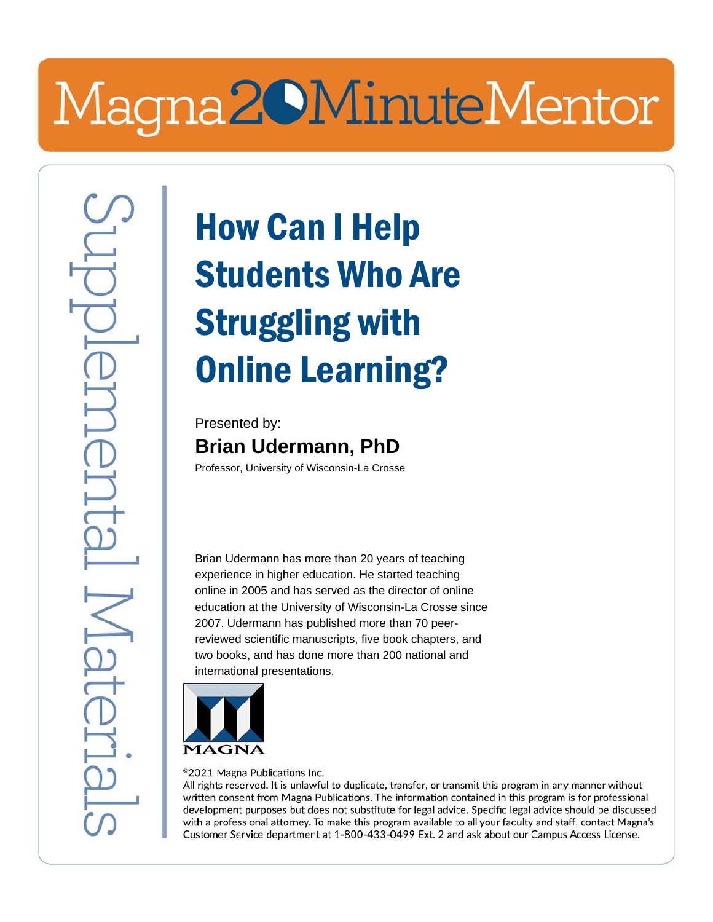## Magna20MinuteMentor

## How Can I Help Students Who Are Struggling with Online Learning?

Presented by: **Brian Udermann, PhD**

Professor, University of Wisconsin-La Crosse

Brian Udermann has more than 20 years of teaching experience in higher education. He started teaching online in 2005 and has served as the director of online education at the University of Wisconsin-La Crosse since 2007. Udermann has published more than 70 peerreviewed scientific manuscripts, five book chapters, and two books, and has done more than 200 national and international presentations.



<sup>©</sup>2021 Magna Publications Inc.

All rights reserved. It is unlawful to duplicate, transfer, or transmit this program in any manner without written consent from Magna Publications. The information contained in this program is for professional development purposes but does not substitute for legal advice. Specific legal advice should be discussed with a professional attorney. To make this program available to all your faculty and staff, contact Magna's Customer Service department at 1-800-433-0499 Ext. 2 and ask about our Campus Access License.